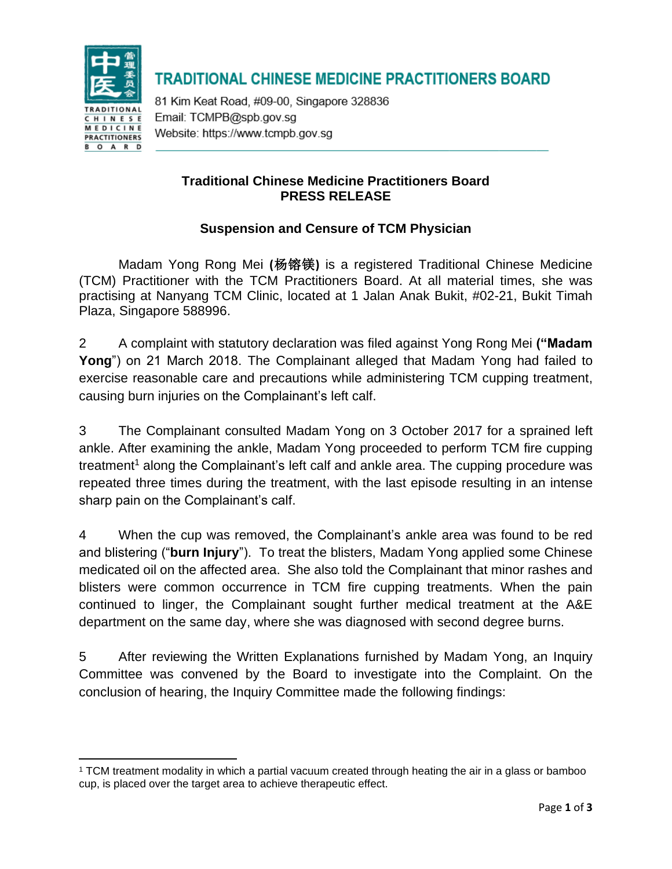

## **TRADITIONAL CHINESE MEDICINE PRACTITIONERS BOARD**

81 Kim Keat Road, #09-00, Singapore 328836 Email: TCMPB@spb.gov.sq Website: https://www.tcmpb.gov.sg

### **Traditional Chinese Medicine Practitioners Board PRESS RELEASE**

### **Suspension and Censure of TCM Physician**

Madam Yong Rong Mei **(**杨镕镁**)** is a registered Traditional Chinese Medicine (TCM) Practitioner with the TCM Practitioners Board. At all material times, she was practising at Nanyang TCM Clinic, located at 1 Jalan Anak Bukit, #02-21, Bukit Timah Plaza, Singapore 588996.

2 A complaint with statutory declaration was filed against Yong Rong Mei **("Madam Yong**") on 21 March 2018. The Complainant alleged that Madam Yong had failed to exercise reasonable care and precautions while administering TCM cupping treatment, causing burn injuries on the Complainant's left calf.

3 The Complainant consulted Madam Yong on 3 October 2017 for a sprained left ankle. After examining the ankle, Madam Yong proceeded to perform TCM fire cupping  $t$ reatment<sup>1</sup> along the Complainant's left calf and ankle area. The cupping procedure was repeated three times during the treatment, with the last episode resulting in an intense sharp pain on the Complainant's calf.

4 When the cup was removed, the Complainant's ankle area was found to be red and blistering ("**burn Injury**"). To treat the blisters, Madam Yong applied some Chinese medicated oil on the affected area. She also told the Complainant that minor rashes and blisters were common occurrence in TCM fire cupping treatments. When the pain continued to linger, the Complainant sought further medical treatment at the A&E department on the same day, where she was diagnosed with second degree burns.

5 After reviewing the Written Explanations furnished by Madam Yong, an Inquiry Committee was convened by the Board to investigate into the Complaint. On the conclusion of hearing, the Inquiry Committee made the following findings:

<sup>1</sup> TCM treatment modality in which a partial vacuum created through heating the air in a glass or bamboo cup, is placed over the target area to achieve therapeutic effect.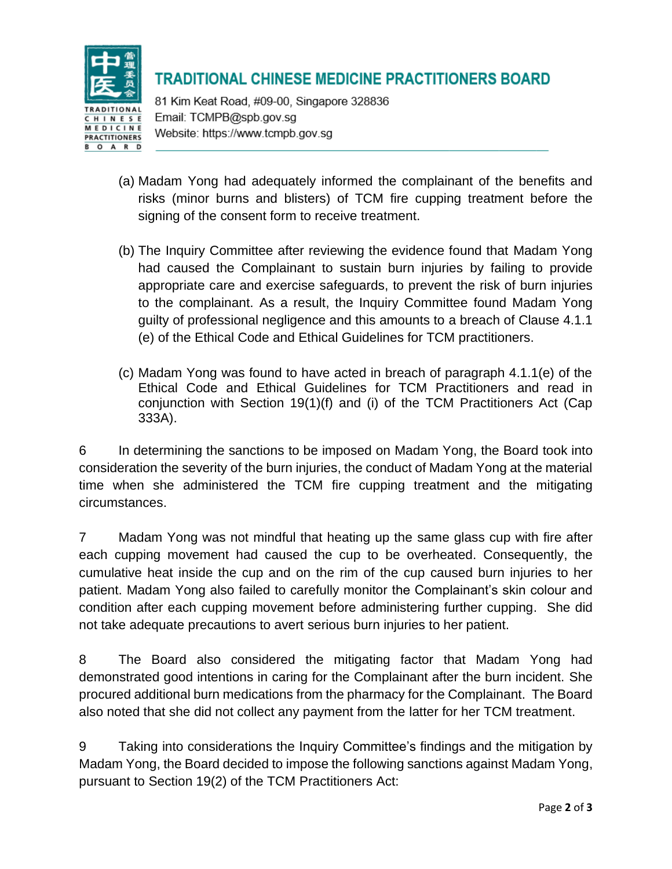

# **TRADITIONAL CHINESE MEDICINE PRACTITIONERS BOARD**

81 Kim Keat Road, #09-00, Singapore 328836 Email: TCMPB@spb.gov.sq Website: https://www.tcmpb.gov.sg

- (a) Madam Yong had adequately informed the complainant of the benefits and risks (minor burns and blisters) of TCM fire cupping treatment before the signing of the consent form to receive treatment.
- (b) The Inquiry Committee after reviewing the evidence found that Madam Yong had caused the Complainant to sustain burn injuries by failing to provide appropriate care and exercise safeguards, to prevent the risk of burn injuries to the complainant. As a result, the Inquiry Committee found Madam Yong guilty of professional negligence and this amounts to a breach of Clause 4.1.1 (e) of the Ethical Code and Ethical Guidelines for TCM practitioners.
- (c) Madam Yong was found to have acted in breach of paragraph 4.1.1(e) of the Ethical Code and Ethical Guidelines for TCM Practitioners and read in conjunction with Section 19(1)(f) and (i) of the TCM Practitioners Act (Cap 333A).

6 In determining the sanctions to be imposed on Madam Yong, the Board took into consideration the severity of the burn injuries, the conduct of Madam Yong at the material time when she administered the TCM fire cupping treatment and the mitigating circumstances.

7 Madam Yong was not mindful that heating up the same glass cup with fire after each cupping movement had caused the cup to be overheated. Consequently, the cumulative heat inside the cup and on the rim of the cup caused burn injuries to her patient. Madam Yong also failed to carefully monitor the Complainant's skin colour and condition after each cupping movement before administering further cupping. She did not take adequate precautions to avert serious burn injuries to her patient.

8 The Board also considered the mitigating factor that Madam Yong had demonstrated good intentions in caring for the Complainant after the burn incident. She procured additional burn medications from the pharmacy for the Complainant. The Board also noted that she did not collect any payment from the latter for her TCM treatment.

9 Taking into considerations the Inquiry Committee's findings and the mitigation by Madam Yong, the Board decided to impose the following sanctions against Madam Yong, pursuant to Section 19(2) of the TCM Practitioners Act: